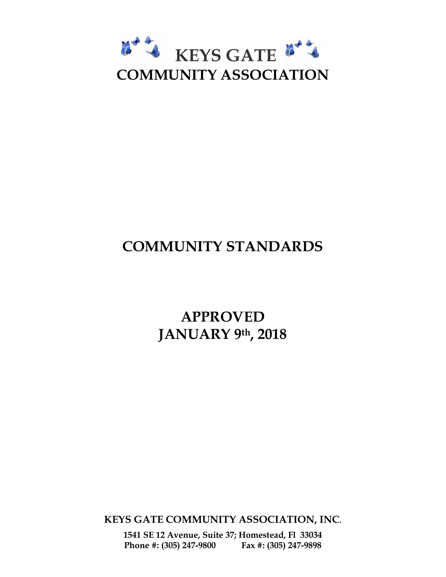

# **COMMUNITY STANDARDS**

**APPROVED JANUARY 9th, 2018** 

**KEYS GATE COMMUNITY ASSOCIATION, INC.**

**1541 SE 12 Avenue, Suite 37; Homestead, Fl 33034 Phone #: (305) 247-9800 Fax #: (305) 247-9898**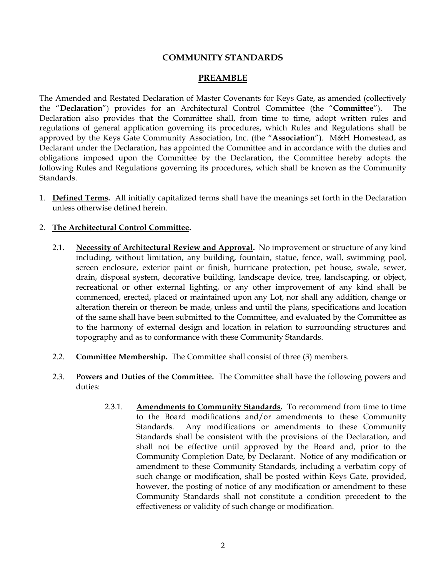#### **COMMUNITY STANDARDS**

#### **PREAMBLE**

The Amended and Restated Declaration of Master Covenants for Keys Gate, as amended (collectively the "**Declaration**") provides for an Architectural Control Committee (the "**Committee**"). The Declaration also provides that the Committee shall, from time to time, adopt written rules and regulations of general application governing its procedures, which Rules and Regulations shall be approved by the Keys Gate Community Association, Inc. (the "**Association**"). M&H Homestead, as Declarant under the Declaration, has appointed the Committee and in accordance with the duties and obligations imposed upon the Committee by the Declaration, the Committee hereby adopts the following Rules and Regulations governing its procedures, which shall be known as the Community Standards.

1. **Defined Terms.** All initially capitalized terms shall have the meanings set forth in the Declaration unless otherwise defined herein.

#### 2. **The Architectural Control Committee.**

- 2.1. **Necessity of Architectural Review and Approval.** No improvement or structure of any kind including, without limitation, any building, fountain, statue, fence, wall, swimming pool, screen enclosure, exterior paint or finish, hurricane protection, pet house, swale, sewer, drain, disposal system, decorative building, landscape device, tree, landscaping, or object, recreational or other external lighting, or any other improvement of any kind shall be commenced, erected, placed or maintained upon any Lot, nor shall any addition, change or alteration therein or thereon be made, unless and until the plans, specifications and location of the same shall have been submitted to the Committee, and evaluated by the Committee as to the harmony of external design and location in relation to surrounding structures and topography and as to conformance with these Community Standards.
- 2.2. **Committee Membership.** The Committee shall consist of three (3) members.
- 2.3. **Powers and Duties of the Committee.** The Committee shall have the following powers and duties:
	- 2.3.1. **Amendments to Community Standards.** To recommend from time to time to the Board modifications and/or amendments to these Community Standards. Any modifications or amendments to these Community Standards shall be consistent with the provisions of the Declaration, and shall not be effective until approved by the Board and, prior to the Community Completion Date, by Declarant. Notice of any modification or amendment to these Community Standards, including a verbatim copy of such change or modification, shall be posted within Keys Gate, provided, however, the posting of notice of any modification or amendment to these Community Standards shall not constitute a condition precedent to the effectiveness or validity of such change or modification.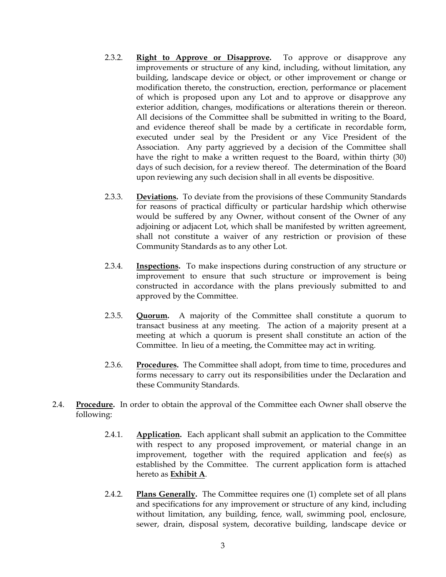- 2.3.2. **Right to Approve or Disapprove.** To approve or disapprove any improvements or structure of any kind, including, without limitation, any building, landscape device or object, or other improvement or change or modification thereto, the construction, erection, performance or placement of which is proposed upon any Lot and to approve or disapprove any exterior addition, changes, modifications or alterations therein or thereon. All decisions of the Committee shall be submitted in writing to the Board, and evidence thereof shall be made by a certificate in recordable form, executed under seal by the President or any Vice President of the Association. Any party aggrieved by a decision of the Committee shall have the right to make a written request to the Board, within thirty (30) days of such decision, for a review thereof. The determination of the Board upon reviewing any such decision shall in all events be dispositive.
- 2.3.3. **Deviations.** To deviate from the provisions of these Community Standards for reasons of practical difficulty or particular hardship which otherwise would be suffered by any Owner, without consent of the Owner of any adjoining or adjacent Lot, which shall be manifested by written agreement, shall not constitute a waiver of any restriction or provision of these Community Standards as to any other Lot.
- 2.3.4. **Inspections.** To make inspections during construction of any structure or improvement to ensure that such structure or improvement is being constructed in accordance with the plans previously submitted to and approved by the Committee.
- 2.3.5. **Quorum.** A majority of the Committee shall constitute a quorum to transact business at any meeting. The action of a majority present at a meeting at which a quorum is present shall constitute an action of the Committee. In lieu of a meeting, the Committee may act in writing.
- 2.3.6. **Procedures.** The Committee shall adopt, from time to time, procedures and forms necessary to carry out its responsibilities under the Declaration and these Community Standards.
- 2.4. **Procedure.** In order to obtain the approval of the Committee each Owner shall observe the following:
	- 2.4.1. **Application.** Each applicant shall submit an application to the Committee with respect to any proposed improvement, or material change in an improvement, together with the required application and fee(s) as established by the Committee. The current application form is attached hereto as **Exhibit A**.
	- 2.4.2. **Plans Generally.** The Committee requires one (1) complete set of all plans and specifications for any improvement or structure of any kind, including without limitation, any building, fence, wall, swimming pool, enclosure, sewer, drain, disposal system, decorative building, landscape device or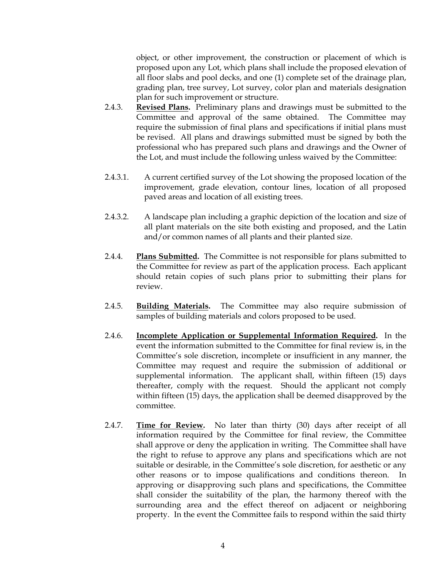object, or other improvement, the construction or placement of which is proposed upon any Lot, which plans shall include the proposed elevation of all floor slabs and pool decks, and one (1) complete set of the drainage plan, grading plan, tree survey, Lot survey, color plan and materials designation plan for such improvement or structure.

- 2.4.3. **Revised Plans.** Preliminary plans and drawings must be submitted to the Committee and approval of the same obtained. The Committee may require the submission of final plans and specifications if initial plans must be revised. All plans and drawings submitted must be signed by both the professional who has prepared such plans and drawings and the Owner of the Lot, and must include the following unless waived by the Committee:
- 2.4.3.1. A current certified survey of the Lot showing the proposed location of the improvement, grade elevation, contour lines, location of all proposed paved areas and location of all existing trees.
- 2.4.3.2. A landscape plan including a graphic depiction of the location and size of all plant materials on the site both existing and proposed, and the Latin and/or common names of all plants and their planted size.
- 2.4.4. **Plans Submitted.** The Committee is not responsible for plans submitted to the Committee for review as part of the application process. Each applicant should retain copies of such plans prior to submitting their plans for review.
- 2.4.5. **Building Materials.** The Committee may also require submission of samples of building materials and colors proposed to be used.
- 2.4.6. **Incomplete Application or Supplemental Information Required.** In the event the information submitted to the Committee for final review is, in the Committee's sole discretion, incomplete or insufficient in any manner, the Committee may request and require the submission of additional or supplemental information. The applicant shall, within fifteen (15) days thereafter, comply with the request. Should the applicant not comply within fifteen (15) days, the application shall be deemed disapproved by the committee.
- 2.4.7. **Time for Review.** No later than thirty (30) days after receipt of all information required by the Committee for final review, the Committee shall approve or deny the application in writing. The Committee shall have the right to refuse to approve any plans and specifications which are not suitable or desirable, in the Committee's sole discretion, for aesthetic or any other reasons or to impose qualifications and conditions thereon. In approving or disapproving such plans and specifications, the Committee shall consider the suitability of the plan, the harmony thereof with the surrounding area and the effect thereof on adjacent or neighboring property. In the event the Committee fails to respond within the said thirty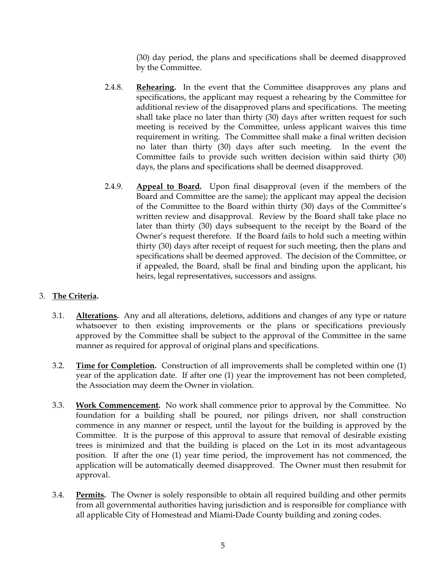(30) day period, the plans and specifications shall be deemed disapproved by the Committee.

- 2.4.8. **Rehearing.** In the event that the Committee disapproves any plans and specifications, the applicant may request a rehearing by the Committee for additional review of the disapproved plans and specifications. The meeting shall take place no later than thirty (30) days after written request for such meeting is received by the Committee, unless applicant waives this time requirement in writing. The Committee shall make a final written decision no later than thirty (30) days after such meeting. In the event the Committee fails to provide such written decision within said thirty (30) days, the plans and specifications shall be deemed disapproved.
- 2.4.9. **Appeal to Board.** Upon final disapproval (even if the members of the Board and Committee are the same); the applicant may appeal the decision of the Committee to the Board within thirty (30) days of the Committee's written review and disapproval. Review by the Board shall take place no later than thirty (30) days subsequent to the receipt by the Board of the Owner's request therefore. If the Board fails to hold such a meeting within thirty (30) days after receipt of request for such meeting, then the plans and specifications shall be deemed approved. The decision of the Committee, or if appealed, the Board, shall be final and binding upon the applicant, his heirs, legal representatives, successors and assigns.

#### 3. **The Criteria.**

- 3.1. **Alterations.** Any and all alterations, deletions, additions and changes of any type or nature whatsoever to then existing improvements or the plans or specifications previously approved by the Committee shall be subject to the approval of the Committee in the same manner as required for approval of original plans and specifications.
- 3.2. **Time for Completion.** Construction of all improvements shall be completed within one (1) year of the application date. If after one (1) year the improvement has not been completed, the Association may deem the Owner in violation.
- 3.3. **Work Commencement.** No work shall commence prior to approval by the Committee. No foundation for a building shall be poured, nor pilings driven, nor shall construction commence in any manner or respect, until the layout for the building is approved by the Committee. It is the purpose of this approval to assure that removal of desirable existing trees is minimized and that the building is placed on the Lot in its most advantageous position. If after the one (1) year time period, the improvement has not commenced, the application will be automatically deemed disapproved. The Owner must then resubmit for approval.
- 3.4. **Permits.** The Owner is solely responsible to obtain all required building and other permits from all governmental authorities having jurisdiction and is responsible for compliance with all applicable City of Homestead and Miami-Dade County building and zoning codes.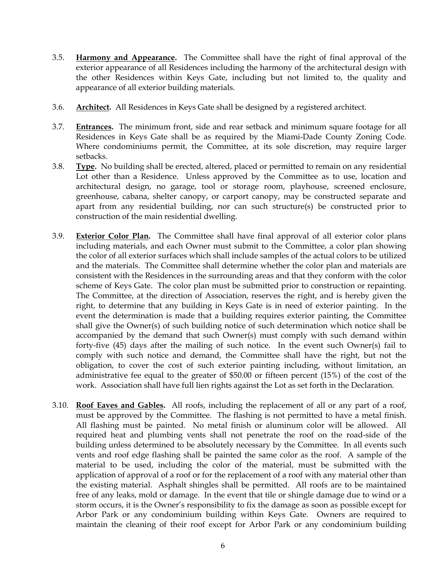- 3.5. **Harmony and Appearance.** The Committee shall have the right of final approval of the exterior appearance of all Residences including the harmony of the architectural design with the other Residences within Keys Gate, including but not limited to, the quality and appearance of all exterior building materials.
- 3.6. **Architect.** All Residences in Keys Gate shall be designed by a registered architect.
- 3.7. **Entrances.** The minimum front, side and rear setback and minimum square footage for all Residences in Keys Gate shall be as required by the Miami-Dade County Zoning Code. Where condominiums permit, the Committee, at its sole discretion, may require larger setbacks.
- 3.8. **Type.** No building shall be erected, altered, placed or permitted to remain on any residential Lot other than a Residence. Unless approved by the Committee as to use, location and architectural design, no garage, tool or storage room, playhouse, screened enclosure, greenhouse, cabana, shelter canopy, or carport canopy, may be constructed separate and apart from any residential building, nor can such structure(s) be constructed prior to construction of the main residential dwelling.
- 3.9. **Exterior Color Plan.** The Committee shall have final approval of all exterior color plans including materials, and each Owner must submit to the Committee, a color plan showing the color of all exterior surfaces which shall include samples of the actual colors to be utilized and the materials. The Committee shall determine whether the color plan and materials are consistent with the Residences in the surrounding areas and that they conform with the color scheme of Keys Gate. The color plan must be submitted prior to construction or repainting. The Committee, at the direction of Association, reserves the right, and is hereby given the right, to determine that any building in Keys Gate is in need of exterior painting. In the event the determination is made that a building requires exterior painting, the Committee shall give the Owner(s) of such building notice of such determination which notice shall be accompanied by the demand that such Owner(s) must comply with such demand within forty-five (45) days after the mailing of such notice. In the event such Owner(s) fail to comply with such notice and demand, the Committee shall have the right, but not the obligation, to cover the cost of such exterior painting including, without limitation, an administrative fee equal to the greater of \$50.00 or fifteen percent (15%) of the cost of the work. Association shall have full lien rights against the Lot as set forth in the Declaration.
- 3.10. **Roof Eaves and Gables.** All roofs, including the replacement of all or any part of a roof, must be approved by the Committee. The flashing is not permitted to have a metal finish. All flashing must be painted. No metal finish or aluminum color will be allowed. All required heat and plumbing vents shall not penetrate the roof on the road-side of the building unless determined to be absolutely necessary by the Committee. In all events such vents and roof edge flashing shall be painted the same color as the roof. A sample of the material to be used, including the color of the material, must be submitted with the application of approval of a roof or for the replacement of a roof with any material other than the existing material. Asphalt shingles shall be permitted. All roofs are to be maintained free of any leaks, mold or damage. In the event that tile or shingle damage due to wind or a storm occurs, it is the Owner's responsibility to fix the damage as soon as possible except for Arbor Park or any condominium building within Keys Gate. Owners are required to maintain the cleaning of their roof except for Arbor Park or any condominium building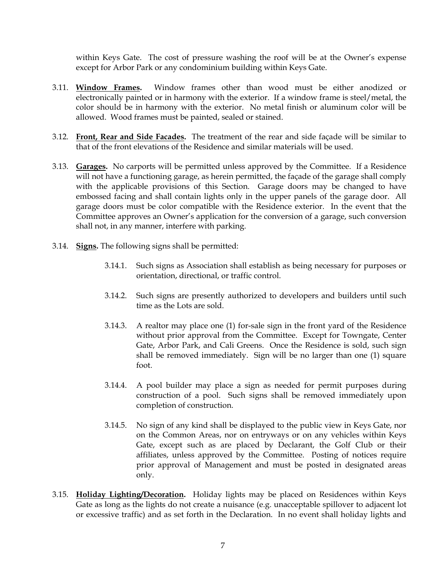within Keys Gate. The cost of pressure washing the roof will be at the Owner's expense except for Arbor Park or any condominium building within Keys Gate.

- 3.11. **Window Frames.** Window frames other than wood must be either anodized or electronically painted or in harmony with the exterior. If a window frame is steel/metal, the color should be in harmony with the exterior. No metal finish or aluminum color will be allowed. Wood frames must be painted, sealed or stained.
- 3.12. **Front, Rear and Side Facades.** The treatment of the rear and side façade will be similar to that of the front elevations of the Residence and similar materials will be used.
- 3.13. **Garages.** No carports will be permitted unless approved by the Committee. If a Residence will not have a functioning garage, as herein permitted, the façade of the garage shall comply with the applicable provisions of this Section. Garage doors may be changed to have embossed facing and shall contain lights only in the upper panels of the garage door. All garage doors must be color compatible with the Residence exterior. In the event that the Committee approves an Owner's application for the conversion of a garage, such conversion shall not, in any manner, interfere with parking.
- 3.14. **Signs.** The following signs shall be permitted:
	- 3.14.1. Such signs as Association shall establish as being necessary for purposes or orientation, directional, or traffic control.
	- 3.14.2. Such signs are presently authorized to developers and builders until such time as the Lots are sold.
	- 3.14.3. A realtor may place one (1) for-sale sign in the front yard of the Residence without prior approval from the Committee. Except for Towngate, Center Gate, Arbor Park, and Cali Greens. Once the Residence is sold, such sign shall be removed immediately. Sign will be no larger than one (1) square foot.
	- 3.14.4. A pool builder may place a sign as needed for permit purposes during construction of a pool. Such signs shall be removed immediately upon completion of construction.
	- 3.14.5. No sign of any kind shall be displayed to the public view in Keys Gate, nor on the Common Areas, nor on entryways or on any vehicles within Keys Gate, except such as are placed by Declarant, the Golf Club or their affiliates, unless approved by the Committee. Posting of notices require prior approval of Management and must be posted in designated areas only.
- 3.15. **Holiday Lighting/Decoration.** Holiday lights may be placed on Residences within Keys Gate as long as the lights do not create a nuisance (e.g. unacceptable spillover to adjacent lot or excessive traffic) and as set forth in the Declaration. In no event shall holiday lights and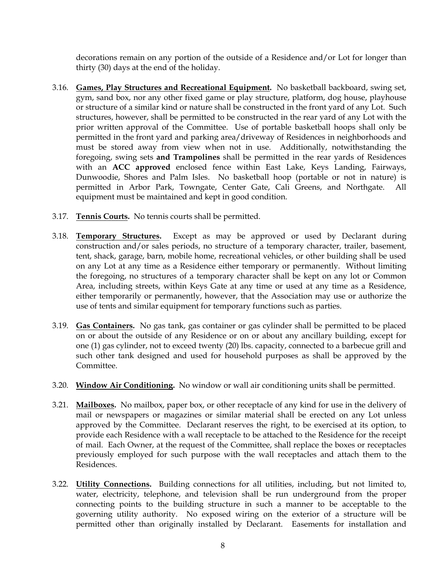decorations remain on any portion of the outside of a Residence and/or Lot for longer than thirty (30) days at the end of the holiday.

- 3.16. **Games, Play Structures and Recreational Equipment.** No basketball backboard, swing set, gym, sand box, nor any other fixed game or play structure, platform, dog house, playhouse or structure of a similar kind or nature shall be constructed in the front yard of any Lot. Such structures, however, shall be permitted to be constructed in the rear yard of any Lot with the prior written approval of the Committee. Use of portable basketball hoops shall only be permitted in the front yard and parking area/driveway of Residences in neighborhoods and must be stored away from view when not in use. Additionally, notwithstanding the foregoing, swing sets **and Trampolines** shall be permitted in the rear yards of Residences with an **ACC approved** enclosed fence within East Lake, Keys Landing, Fairways, Dunwoodie, Shores and Palm Isles. No basketball hoop (portable or not in nature) is permitted in Arbor Park, Towngate, Center Gate, Cali Greens, and Northgate. All equipment must be maintained and kept in good condition.
- 3.17. **Tennis Courts.** No tennis courts shall be permitted.
- 3.18. **Temporary Structures.** Except as may be approved or used by Declarant during construction and/or sales periods, no structure of a temporary character, trailer, basement, tent, shack, garage, barn, mobile home, recreational vehicles, or other building shall be used on any Lot at any time as a Residence either temporary or permanently. Without limiting the foregoing, no structures of a temporary character shall be kept on any lot or Common Area, including streets, within Keys Gate at any time or used at any time as a Residence, either temporarily or permanently, however, that the Association may use or authorize the use of tents and similar equipment for temporary functions such as parties.
- 3.19. **Gas Containers.** No gas tank, gas container or gas cylinder shall be permitted to be placed on or about the outside of any Residence or on or about any ancillary building, except for one (1) gas cylinder, not to exceed twenty (20) lbs. capacity, connected to a barbecue grill and such other tank designed and used for household purposes as shall be approved by the Committee.
- 3.20. **Window Air Conditioning.** No window or wall air conditioning units shall be permitted.
- 3.21. **Mailboxes.** No mailbox, paper box, or other receptacle of any kind for use in the delivery of mail or newspapers or magazines or similar material shall be erected on any Lot unless approved by the Committee. Declarant reserves the right, to be exercised at its option, to provide each Residence with a wall receptacle to be attached to the Residence for the receipt of mail. Each Owner, at the request of the Committee, shall replace the boxes or receptacles previously employed for such purpose with the wall receptacles and attach them to the Residences.
- 3.22. **Utility Connections.** Building connections for all utilities, including, but not limited to, water, electricity, telephone, and television shall be run underground from the proper connecting points to the building structure in such a manner to be acceptable to the governing utility authority. No exposed wiring on the exterior of a structure will be permitted other than originally installed by Declarant. Easements for installation and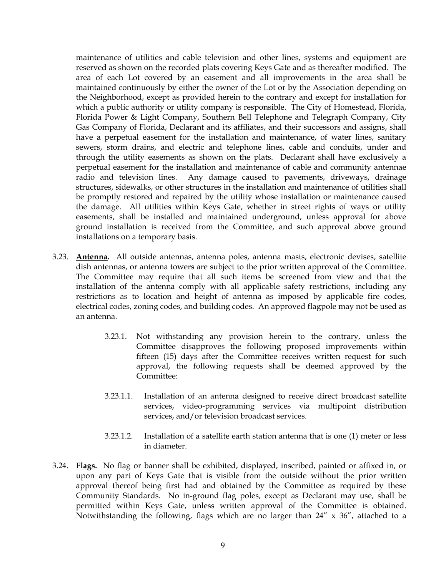maintenance of utilities and cable television and other lines, systems and equipment are reserved as shown on the recorded plats covering Keys Gate and as thereafter modified. The area of each Lot covered by an easement and all improvements in the area shall be maintained continuously by either the owner of the Lot or by the Association depending on the Neighborhood, except as provided herein to the contrary and except for installation for which a public authority or utility company is responsible. The City of Homestead, Florida, Florida Power & Light Company, Southern Bell Telephone and Telegraph Company, City Gas Company of Florida, Declarant and its affiliates, and their successors and assigns, shall have a perpetual easement for the installation and maintenance, of water lines, sanitary sewers, storm drains, and electric and telephone lines, cable and conduits, under and through the utility easements as shown on the plats. Declarant shall have exclusively a perpetual easement for the installation and maintenance of cable and community antennae radio and television lines. Any damage caused to pavements, driveways, drainage structures, sidewalks, or other structures in the installation and maintenance of utilities shall be promptly restored and repaired by the utility whose installation or maintenance caused the damage. All utilities within Keys Gate, whether in street rights of ways or utility easements, shall be installed and maintained underground, unless approval for above ground installation is received from the Committee, and such approval above ground installations on a temporary basis.

- 3.23. **Antenna.** All outside antennas, antenna poles, antenna masts, electronic devises, satellite dish antennas, or antenna towers are subject to the prior written approval of the Committee. The Committee may require that all such items be screened from view and that the installation of the antenna comply with all applicable safety restrictions, including any restrictions as to location and height of antenna as imposed by applicable fire codes, electrical codes, zoning codes, and building codes. An approved flagpole may not be used as an antenna.
	- 3.23.1. Not withstanding any provision herein to the contrary, unless the Committee disapproves the following proposed improvements within fifteen (15) days after the Committee receives written request for such approval, the following requests shall be deemed approved by the Committee:
	- 3.23.1.1. Installation of an antenna designed to receive direct broadcast satellite services, video-programming services via multipoint distribution services, and/or television broadcast services.
	- 3.23.1.2. Installation of a satellite earth station antenna that is one (1) meter or less in diameter.
- 3.24. **Flags.** No flag or banner shall be exhibited, displayed, inscribed, painted or affixed in, or upon any part of Keys Gate that is visible from the outside without the prior written approval thereof being first had and obtained by the Committee as required by these Community Standards. No in-ground flag poles, except as Declarant may use, shall be permitted within Keys Gate, unless written approval of the Committee is obtained. Notwithstanding the following, flags which are no larger than  $24'' \times 36''$ , attached to a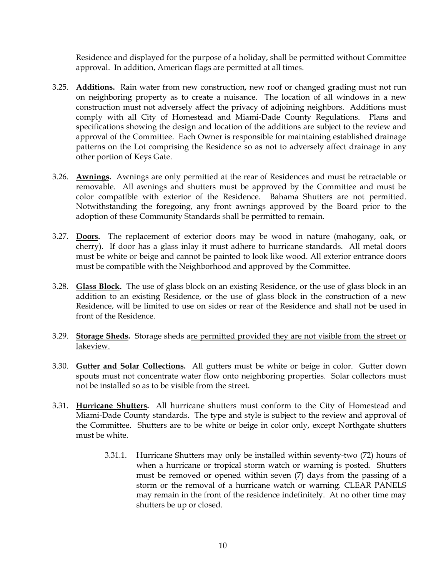Residence and displayed for the purpose of a holiday, shall be permitted without Committee approval. In addition, American flags are permitted at all times.

- 3.25. **Additions.** Rain water from new construction, new roof or changed grading must not run on neighboring property as to create a nuisance. The location of all windows in a new construction must not adversely affect the privacy of adjoining neighbors. Additions must comply with all City of Homestead and Miami-Dade County Regulations. Plans and specifications showing the design and location of the additions are subject to the review and approval of the Committee. Each Owner is responsible for maintaining established drainage patterns on the Lot comprising the Residence so as not to adversely affect drainage in any other portion of Keys Gate.
- 3.26. **Awnings.** Awnings are only permitted at the rear of Residences and must be retractable or removable. All awnings and shutters must be approved by the Committee and must be color compatible with exterior of the Residence. Bahama Shutters are not permitted. Notwithstanding the foregoing, any front awnings approved by the Board prior to the adoption of these Community Standards shall be permitted to remain.
- 3.27. **Doors.** The replacement of exterior doors may be wood in nature (mahogany, oak, or cherry). If door has a glass inlay it must adhere to hurricane standards. All metal doors must be white or beige and cannot be painted to look like wood. All exterior entrance doors must be compatible with the Neighborhood and approved by the Committee.
- 3.28. **Glass Block.** The use of glass block on an existing Residence, or the use of glass block in an addition to an existing Residence, or the use of glass block in the construction of a new Residence, will be limited to use on sides or rear of the Residence and shall not be used in front of the Residence.
- 3.29. **Storage Sheds.** Storage sheds are permitted provided they are not visible from the street or lakeview.
- 3.30. **Gutter and Solar Collections.** All gutters must be white or beige in color. Gutter down spouts must not concentrate water flow onto neighboring properties. Solar collectors must not be installed so as to be visible from the street.
- 3.31. **Hurricane Shutters.** All hurricane shutters must conform to the City of Homestead and Miami-Dade County standards. The type and style is subject to the review and approval of the Committee. Shutters are to be white or beige in color only, except Northgate shutters must be white.
	- 3.31.1. Hurricane Shutters may only be installed within seventy-two (72) hours of when a hurricane or tropical storm watch or warning is posted. Shutters must be removed or opened within seven (7) days from the passing of a storm or the removal of a hurricane watch or warning. CLEAR PANELS may remain in the front of the residence indefinitely. At no other time may shutters be up or closed.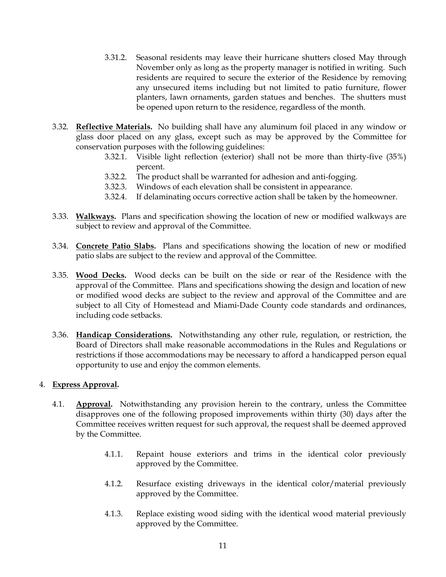- 3.31.2. Seasonal residents may leave their hurricane shutters closed May through November only as long as the property manager is notified in writing. Such residents are required to secure the exterior of the Residence by removing any unsecured items including but not limited to patio furniture, flower planters, lawn ornaments, garden statues and benches. The shutters must be opened upon return to the residence, regardless of the month.
- 3.32. **Reflective Materials.** No building shall have any aluminum foil placed in any window or glass door placed on any glass, except such as may be approved by the Committee for conservation purposes with the following guidelines:
	- 3.32.1. Visible light reflection (exterior) shall not be more than thirty-five (35%) percent.
	- 3.32.2. The product shall be warranted for adhesion and anti-fogging.
	- 3.32.3. Windows of each elevation shall be consistent in appearance.
	- 3.32.4. If delaminating occurs corrective action shall be taken by the homeowner.
- 3.33. **Walkways.** Plans and specification showing the location of new or modified walkways are subject to review and approval of the Committee.
- 3.34. **Concrete Patio Slabs.** Plans and specifications showing the location of new or modified patio slabs are subject to the review and approval of the Committee.
- 3.35. **Wood Decks.** Wood decks can be built on the side or rear of the Residence with the approval of the Committee. Plans and specifications showing the design and location of new or modified wood decks are subject to the review and approval of the Committee and are subject to all City of Homestead and Miami-Dade County code standards and ordinances, including code setbacks.
- 3.36. **Handicap Considerations.** Notwithstanding any other rule, regulation, or restriction, the Board of Directors shall make reasonable accommodations in the Rules and Regulations or restrictions if those accommodations may be necessary to afford a handicapped person equal opportunity to use and enjoy the common elements.

#### 4. **Express Approval.**

- 4.1. **Approval.** Notwithstanding any provision herein to the contrary, unless the Committee disapproves one of the following proposed improvements within thirty (30) days after the Committee receives written request for such approval, the request shall be deemed approved by the Committee.
	- 4.1.1. Repaint house exteriors and trims in the identical color previously approved by the Committee.
	- 4.1.2. Resurface existing driveways in the identical color/material previously approved by the Committee.
	- 4.1.3. Replace existing wood siding with the identical wood material previously approved by the Committee.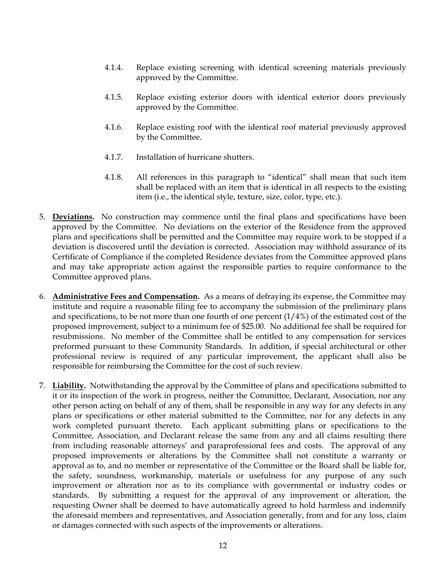- 4.1.4. Replace existing screening with identical screening materials previously approved by the Committee.
- 4.1.5. Replace existing exterior doors with identical exterior doors previously approved by the Committee.
- 4.1.6. Replace existing roof with the identical roof material previously approved by the Committee.
- 4.1.7. Installation of hurricane shutters.
- 4.1.8. All references in this paragraph to "identical" shall mean that such item shall be replaced with an item that is identical in all respects to the existing item (i.e., the identical style, texture, size, color, type, etc.).
- 5. **Deviations.** No construction may commence until the final plans and specifications have been approved by the Committee. No deviations on the exterior of the Residence from the approved plans and specifications shall be permitted and the Committee may require work to be stopped if a deviation is discovered until the deviation is corrected. Association may withhold assurance of its Certificate of Compliance if the completed Residence deviates from the Committee approved plans and may take appropriate action against the responsible parties to require conformance to the Committee approved plans.
- 6. **Administrative Fees and Compensation.** As a means of defraying its expense, the Committee may institute and require a reasonable filing fee to accompany the submission of the preliminary plans and specifications, to be not more than one fourth of one percent  $(1/4%)$  of the estimated cost of the proposed improvement, subject to a minimum fee of \$25.00. No additional fee shall be required for resubmissions. No member of the Committee shall be entitled to any compensation for services preformed pursuant to these Community Standards. In addition, if special architectural or other professional review is required of any particular improvement, the applicant shall also be responsible for reimbursing the Committee for the cost of such review.
- 7. **Liability.** Notwithstanding the approval by the Committee of plans and specifications submitted to it or its inspection of the work in progress, neither the Committee, Declarant, Association, nor any other person acting on behalf of any of them, shall be responsible in any way for any defects in any plans or specifications or other material submitted to the Committee, nor for any defects in any work completed pursuant thereto. Each applicant submitting plans or specifications to the Committee, Association, and Declarant release the same from any and all claims resulting there from including reasonable attorneys' and paraprofessional fees and costs. The approval of any proposed improvements or alterations by the Committee shall not constitute a warranty or approval as to, and no member or representative of the Committee or the Board shall be liable for, the safety, soundness, workmanship, materials or usefulness for any purpose of any such improvement or alteration nor as to its compliance with governmental or industry codes or standards. By submitting a request for the approval of any improvement or alteration, the requesting Owner shall be deemed to have automatically agreed to hold harmless and indemnify the aforesaid members and representatives, and Association generally, from and for any loss, claim or damages connected with such aspects of the improvements or alterations.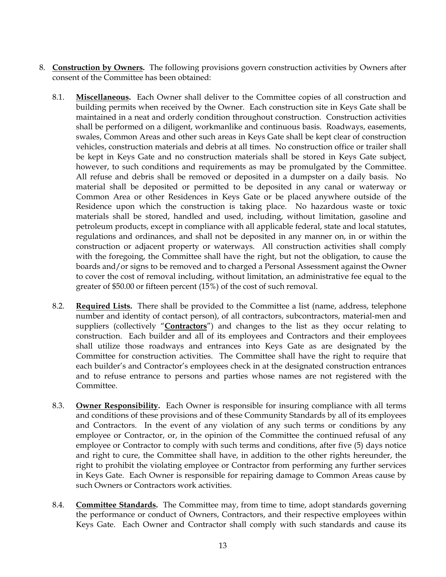- 8. **Construction by Owners.** The following provisions govern construction activities by Owners after consent of the Committee has been obtained:
	- 8.1. **Miscellaneous.** Each Owner shall deliver to the Committee copies of all construction and building permits when received by the Owner. Each construction site in Keys Gate shall be maintained in a neat and orderly condition throughout construction. Construction activities shall be performed on a diligent, workmanlike and continuous basis. Roadways, easements, swales, Common Areas and other such areas in Keys Gate shall be kept clear of construction vehicles, construction materials and debris at all times. No construction office or trailer shall be kept in Keys Gate and no construction materials shall be stored in Keys Gate subject, however, to such conditions and requirements as may be promulgated by the Committee. All refuse and debris shall be removed or deposited in a dumpster on a daily basis. No material shall be deposited or permitted to be deposited in any canal or waterway or Common Area or other Residences in Keys Gate or be placed anywhere outside of the Residence upon which the construction is taking place. No hazardous waste or toxic materials shall be stored, handled and used, including, without limitation, gasoline and petroleum products, except in compliance with all applicable federal, state and local statutes, regulations and ordinances, and shall not be deposited in any manner on, in or within the construction or adjacent property or waterways. All construction activities shall comply with the foregoing, the Committee shall have the right, but not the obligation, to cause the boards and/or signs to be removed and to charged a Personal Assessment against the Owner to cover the cost of removal including, without limitation, an administrative fee equal to the greater of \$50.00 or fifteen percent (15%) of the cost of such removal.
	- 8.2. **Required Lists.** There shall be provided to the Committee a list (name, address, telephone number and identity of contact person), of all contractors, subcontractors, material-men and suppliers (collectively "**Contractors**") and changes to the list as they occur relating to construction. Each builder and all of its employees and Contractors and their employees shall utilize those roadways and entrances into Keys Gate as are designated by the Committee for construction activities. The Committee shall have the right to require that each builder's and Contractor's employees check in at the designated construction entrances and to refuse entrance to persons and parties whose names are not registered with the Committee.
	- 8.3. **Owner Responsibility.** Each Owner is responsible for insuring compliance with all terms and conditions of these provisions and of these Community Standards by all of its employees and Contractors. In the event of any violation of any such terms or conditions by any employee or Contractor, or, in the opinion of the Committee the continued refusal of any employee or Contractor to comply with such terms and conditions, after five (5) days notice and right to cure, the Committee shall have, in addition to the other rights hereunder, the right to prohibit the violating employee or Contractor from performing any further services in Keys Gate. Each Owner is responsible for repairing damage to Common Areas cause by such Owners or Contractors work activities.
	- 8.4. **Committee Standards.** The Committee may, from time to time, adopt standards governing the performance or conduct of Owners, Contractors, and their respective employees within Keys Gate. Each Owner and Contractor shall comply with such standards and cause its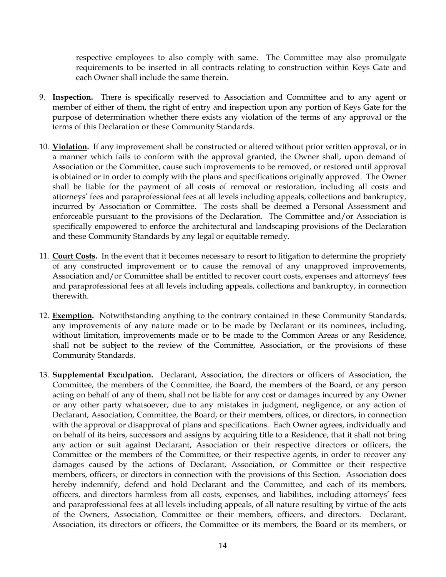respective employees to also comply with same. The Committee may also promulgate requirements to be inserted in all contracts relating to construction within Keys Gate and each Owner shall include the same therein.

- 9. **Inspection.** There is specifically reserved to Association and Committee and to any agent or member of either of them, the right of entry and inspection upon any portion of Keys Gate for the purpose of determination whether there exists any violation of the terms of any approval or the terms of this Declaration or these Community Standards.
- 10. **Violation.** If any improvement shall be constructed or altered without prior written approval, or in a manner which fails to conform with the approval granted, the Owner shall, upon demand of Association or the Committee, cause such improvements to be removed, or restored until approval is obtained or in order to comply with the plans and specifications originally approved. The Owner shall be liable for the payment of all costs of removal or restoration, including all costs and attorneys' fees and paraprofessional fees at all levels including appeals, collections and bankruptcy, incurred by Association or Committee. The costs shall be deemed a Personal Assessment and enforceable pursuant to the provisions of the Declaration. The Committee and/or Association is specifically empowered to enforce the architectural and landscaping provisions of the Declaration and these Community Standards by any legal or equitable remedy.
- 11. **Court Costs.** In the event that it becomes necessary to resort to litigation to determine the propriety of any constructed improvement or to cause the removal of any unapproved improvements, Association and/or Committee shall be entitled to recover court costs, expenses and attorneys' fees and paraprofessional fees at all levels including appeals, collections and bankruptcy, in connection therewith.
- 12. **Exemption.** Notwithstanding anything to the contrary contained in these Community Standards, any improvements of any nature made or to be made by Declarant or its nominees, including, without limitation, improvements made or to be made to the Common Areas or any Residence, shall not be subject to the review of the Committee, Association, or the provisions of these Community Standards.
- 13. **Supplemental Exculpation.** Declarant, Association, the directors or officers of Association, the Committee, the members of the Committee, the Board, the members of the Board, or any person acting on behalf of any of them, shall not be liable for any cost or damages incurred by any Owner or any other party whatsoever, due to any mistakes in judgment, negligence, or any action of Declarant, Association, Committee, the Board, or their members, offices, or directors, in connection with the approval or disapproval of plans and specifications. Each Owner agrees, individually and on behalf of its heirs, successors and assigns by acquiring title to a Residence, that it shall not bring any action or suit against Declarant, Association or their respective directors or officers, the Committee or the members of the Committee, or their respective agents, in order to recover any damages caused by the actions of Declarant, Association, or Committee or their respective members, officers, or directors in connection with the provisions of this Section. Association does hereby indemnify, defend and hold Declarant and the Committee, and each of its members, officers, and directors harmless from all costs, expenses, and liabilities, including attorneys' fees and paraprofessional fees at all levels including appeals, of all nature resulting by virtue of the acts of the Owners, Association, Committee or their members, officers, and directors. Declarant, Association, its directors or officers, the Committee or its members, the Board or its members, or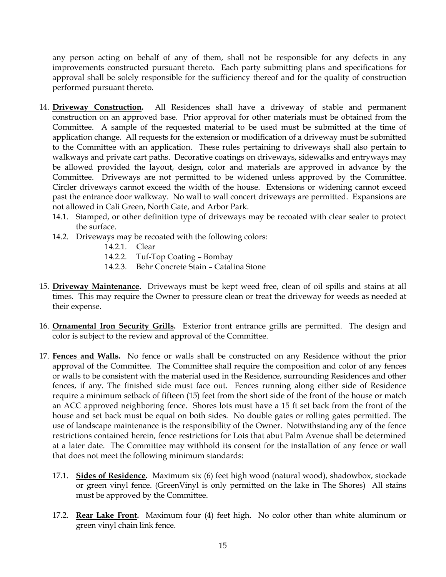any person acting on behalf of any of them, shall not be responsible for any defects in any improvements constructed pursuant thereto. Each party submitting plans and specifications for approval shall be solely responsible for the sufficiency thereof and for the quality of construction performed pursuant thereto.

- 14. **Driveway Construction.** All Residences shall have a driveway of stable and permanent construction on an approved base. Prior approval for other materials must be obtained from the Committee. A sample of the requested material to be used must be submitted at the time of application change. All requests for the extension or modification of a driveway must be submitted to the Committee with an application. These rules pertaining to driveways shall also pertain to walkways and private cart paths. Decorative coatings on driveways, sidewalks and entryways may be allowed provided the layout, design, color and materials are approved in advance by the Committee. Driveways are not permitted to be widened unless approved by the Committee. Circler driveways cannot exceed the width of the house. Extensions or widening cannot exceed past the entrance door walkway. No wall to wall concert driveways are permitted. Expansions are not allowed in Cali Green, North Gate, and Arbor Park.
	- 14.1. Stamped, or other definition type of driveways may be recoated with clear sealer to protect the surface.
	- 14.2. Driveways may be recoated with the following colors:
		- 14.2.1 Clear
		- 14.2.2. Tuf-Top Coating Bombay
		- 14.2.3. Behr Concrete Stain Catalina Stone
- 15. **Driveway Maintenance.** Driveways must be kept weed free, clean of oil spills and stains at all times. This may require the Owner to pressure clean or treat the driveway for weeds as needed at their expense.
- 16. **Ornamental Iron Security Grills.** Exterior front entrance grills are permitted. The design and color is subject to the review and approval of the Committee.
- 17. **Fences and Walls.** No fence or walls shall be constructed on any Residence without the prior approval of the Committee. The Committee shall require the composition and color of any fences or walls to be consistent with the material used in the Residence, surrounding Residences and other fences, if any. The finished side must face out. Fences running along either side of Residence require a minimum setback of fifteen (15) feet from the short side of the front of the house or match an ACC approved neighboring fence. Shores lots must have a 15 ft set back from the front of the house and set back must be equal on both sides. No double gates or rolling gates permitted. The use of landscape maintenance is the responsibility of the Owner. Notwithstanding any of the fence restrictions contained herein, fence restrictions for Lots that abut Palm Avenue shall be determined at a later date. The Committee may withhold its consent for the installation of any fence or wall that does not meet the following minimum standards:
	- 17.1. **Sides of Residence.** Maximum six (6) feet high wood (natural wood), shadowbox, stockade or green vinyl fence. (GreenVinyl is only permitted on the lake in The Shores) All stains must be approved by the Committee.
	- 17.2. **Rear Lake Front.** Maximum four (4) feet high. No color other than white aluminum or green vinyl chain link fence.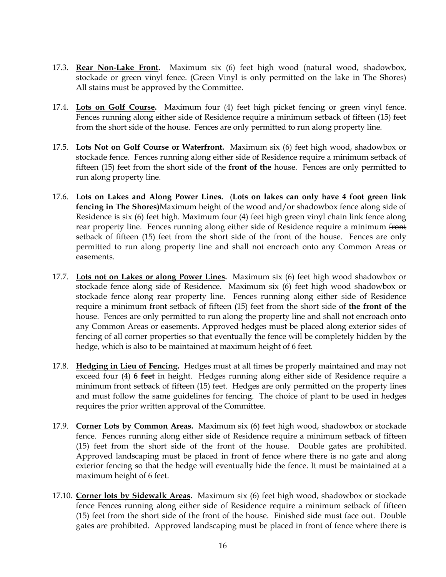- 17.3. **Rear Non-Lake Front.** Maximum six (6) feet high wood (natural wood, shadowbox, stockade or green vinyl fence. (Green Vinyl is only permitted on the lake in The Shores) All stains must be approved by the Committee.
- 17.4. **Lots on Golf Course.** Maximum four (4) feet high picket fencing or green vinyl fence. Fences running along either side of Residence require a minimum setback of fifteen (15) feet from the short side of the house. Fences are only permitted to run along property line.
- 17.5. **Lots Not on Golf Course or Waterfront.** Maximum six (6) feet high wood, shadowbox or stockade fence. Fences running along either side of Residence require a minimum setback of fifteen (15) feet from the short side of the **front of the** house. Fences are only permitted to run along property line.
- 17.6. **Lots on Lakes and Along Power Lines.** (**Lots on lakes can only have 4 foot green link fencing in The Shores)**Maximum height of the wood and/or shadowbox fence along side of Residence is six (6) feet high. Maximum four (4) feet high green vinyl chain link fence along rear property line. Fences running along either side of Residence require a minimum front setback of fifteen (15) feet from the short side of the front of the house. Fences are only permitted to run along property line and shall not encroach onto any Common Areas or easements.
- 17.7. **Lots not on Lakes or along Power Lines.** Maximum six (6) feet high wood shadowbox or stockade fence along side of Residence. Maximum six (6) feet high wood shadowbox or stockade fence along rear property line. Fences running along either side of Residence require a minimum front setback of fifteen (15) feet from the short side of **the front of the** house. Fences are only permitted to run along the property line and shall not encroach onto any Common Areas or easements. Approved hedges must be placed along exterior sides of fencing of all corner properties so that eventually the fence will be completely hidden by the hedge, which is also to be maintained at maximum height of 6 feet.
- 17.8. **Hedging in Lieu of Fencing.** Hedges must at all times be properly maintained and may not exceed four (4) **6 feet** in height. Hedges running along either side of Residence require a minimum front setback of fifteen (15) feet. Hedges are only permitted on the property lines and must follow the same guidelines for fencing. The choice of plant to be used in hedges requires the prior written approval of the Committee.
- 17.9. **Corner Lots by Common Areas.** Maximum six (6) feet high wood, shadowbox or stockade fence. Fences running along either side of Residence require a minimum setback of fifteen (15) feet from the short side of the front of the house. Double gates are prohibited. Approved landscaping must be placed in front of fence where there is no gate and along exterior fencing so that the hedge will eventually hide the fence. It must be maintained at a maximum height of 6 feet.
- 17.10. **Corner lots by Sidewalk Areas.** Maximum six (6) feet high wood, shadowbox or stockade fence Fences running along either side of Residence require a minimum setback of fifteen (15) feet from the short side of the front of the house. Finished side must face out. Double gates are prohibited. Approved landscaping must be placed in front of fence where there is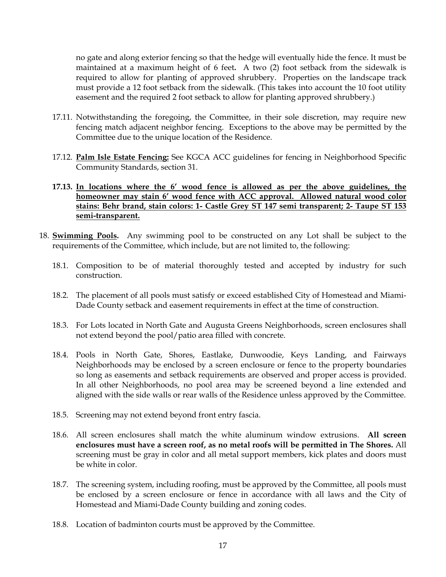no gate and along exterior fencing so that the hedge will eventually hide the fence. It must be maintained at a maximum height of 6 feet**.** A two (2) foot setback from the sidewalk is required to allow for planting of approved shrubbery. Properties on the landscape track must provide a 12 foot setback from the sidewalk. (This takes into account the 10 foot utility easement and the required 2 foot setback to allow for planting approved shrubbery.)

- 17.11. Notwithstanding the foregoing, the Committee, in their sole discretion, may require new fencing match adjacent neighbor fencing. Exceptions to the above may be permitted by the Committee due to the unique location of the Residence.
- 17.12. **Palm Isle Estate Fencing:** See KGCA ACC guidelines for fencing in Neighborhood Specific Community Standards, section 31.

#### **17.13. In locations where the 6' wood fence is allowed as per the above guidelines, the homeowner may stain 6' wood fence with ACC approval. Allowed natural wood color stains: Behr brand, stain colors: 1- Castle Grey ST 147 semi transparent; 2- Taupe ST 153 semi-transparent.**

- 18. **Swimming Pools.** Any swimming pool to be constructed on any Lot shall be subject to the requirements of the Committee, which include, but are not limited to, the following:
	- 18.1. Composition to be of material thoroughly tested and accepted by industry for such construction.
	- 18.2. The placement of all pools must satisfy or exceed established City of Homestead and Miami-Dade County setback and easement requirements in effect at the time of construction.
	- 18.3. For Lots located in North Gate and Augusta Greens Neighborhoods, screen enclosures shall not extend beyond the pool/patio area filled with concrete.
	- 18.4. Pools in North Gate, Shores, Eastlake, Dunwoodie, Keys Landing, and Fairways Neighborhoods may be enclosed by a screen enclosure or fence to the property boundaries so long as easements and setback requirements are observed and proper access is provided. In all other Neighborhoods, no pool area may be screened beyond a line extended and aligned with the side walls or rear walls of the Residence unless approved by the Committee.
	- 18.5. Screening may not extend beyond front entry fascia.
	- 18.6. All screen enclosures shall match the white aluminum window extrusions. **All screen enclosures must have a screen roof, as no metal roofs will be permitted in The Shores.** All screening must be gray in color and all metal support members, kick plates and doors must be white in color.
	- 18.7. The screening system, including roofing, must be approved by the Committee, all pools must be enclosed by a screen enclosure or fence in accordance with all laws and the City of Homestead and Miami-Dade County building and zoning codes.
	- 18.8. Location of badminton courts must be approved by the Committee.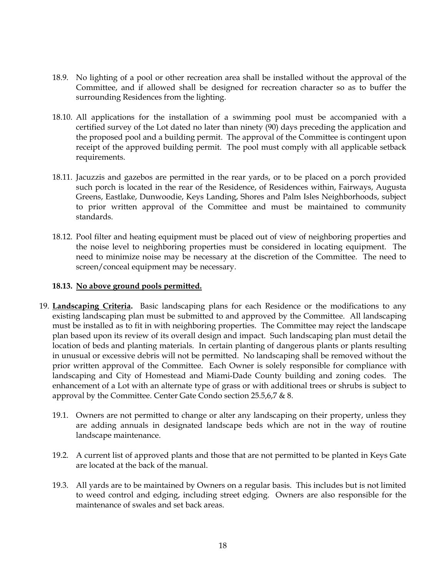- 18.9. No lighting of a pool or other recreation area shall be installed without the approval of the Committee, and if allowed shall be designed for recreation character so as to buffer the surrounding Residences from the lighting.
- 18.10. All applications for the installation of a swimming pool must be accompanied with a certified survey of the Lot dated no later than ninety (90) days preceding the application and the proposed pool and a building permit. The approval of the Committee is contingent upon receipt of the approved building permit. The pool must comply with all applicable setback requirements.
- 18.11. Jacuzzis and gazebos are permitted in the rear yards, or to be placed on a porch provided such porch is located in the rear of the Residence, of Residences within, Fairways, Augusta Greens, Eastlake, Dunwoodie, Keys Landing, Shores and Palm Isles Neighborhoods, subject to prior written approval of the Committee and must be maintained to community standards.
- 18.12. Pool filter and heating equipment must be placed out of view of neighboring properties and the noise level to neighboring properties must be considered in locating equipment. The need to minimize noise may be necessary at the discretion of the Committee. The need to screen/conceal equipment may be necessary.

#### **18.13. No above ground pools permitted.**

- 19. **Landscaping Criteria.** Basic landscaping plans for each Residence or the modifications to any existing landscaping plan must be submitted to and approved by the Committee. All landscaping must be installed as to fit in with neighboring properties. The Committee may reject the landscape plan based upon its review of its overall design and impact. Such landscaping plan must detail the location of beds and planting materials. In certain planting of dangerous plants or plants resulting in unusual or excessive debris will not be permitted. No landscaping shall be removed without the prior written approval of the Committee. Each Owner is solely responsible for compliance with landscaping and City of Homestead and Miami-Dade County building and zoning codes. The enhancement of a Lot with an alternate type of grass or with additional trees or shrubs is subject to approval by the Committee. Center Gate Condo section 25.5,6,7 & 8.
	- 19.1. Owners are not permitted to change or alter any landscaping on their property, unless they are adding annuals in designated landscape beds which are not in the way of routine landscape maintenance.
	- 19.2. A current list of approved plants and those that are not permitted to be planted in Keys Gate are located at the back of the manual.
	- 19.3. All yards are to be maintained by Owners on a regular basis. This includes but is not limited to weed control and edging, including street edging. Owners are also responsible for the maintenance of swales and set back areas.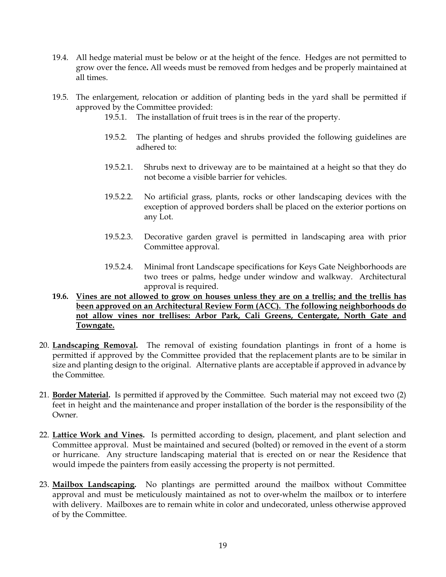- 19.4. All hedge material must be below or at the height of the fence. Hedges are not permitted to grow over the fence**.** All weeds must be removed from hedges and be properly maintained at all times.
- 19.5. The enlargement, relocation or addition of planting beds in the yard shall be permitted if approved by the Committee provided:
	- 19.5.1. The installation of fruit trees is in the rear of the property.
	- 19.5.2. The planting of hedges and shrubs provided the following guidelines are adhered to:
	- 19.5.2.1. Shrubs next to driveway are to be maintained at a height so that they do not become a visible barrier for vehicles.
	- 19.5.2.2. No artificial grass, plants, rocks or other landscaping devices with the exception of approved borders shall be placed on the exterior portions on any Lot.
	- 19.5.2.3. Decorative garden gravel is permitted in landscaping area with prior Committee approval.
	- 19.5.2.4. Minimal front Landscape specifications for Keys Gate Neighborhoods are two trees or palms, hedge under window and walkway. Architectural approval is required.
- **19.6. Vines are not allowed to grow on houses unless they are on a trellis; and the trellis has been approved on an Architectural Review Form (ACC). The following neighborhoods do not allow vines nor trellises: Arbor Park, Cali Greens, Centergate, North Gate and Towngate.**
- 20. **Landscaping Removal.** The removal of existing foundation plantings in front of a home is permitted if approved by the Committee provided that the replacement plants are to be similar in size and planting design to the original. Alternative plants are acceptable if approved in advance by the Committee.
- 21. **Border Material.** Is permitted if approved by the Committee. Such material may not exceed two (2) feet in height and the maintenance and proper installation of the border is the responsibility of the Owner.
- 22. **Lattice Work and Vines.** Is permitted according to design, placement, and plant selection and Committee approval. Must be maintained and secured (bolted) or removed in the event of a storm or hurricane. Any structure landscaping material that is erected on or near the Residence that would impede the painters from easily accessing the property is not permitted.
- 23. **Mailbox Landscaping.** No plantings are permitted around the mailbox without Committee approval and must be meticulously maintained as not to over-whelm the mailbox or to interfere with delivery. Mailboxes are to remain white in color and undecorated, unless otherwise approved of by the Committee.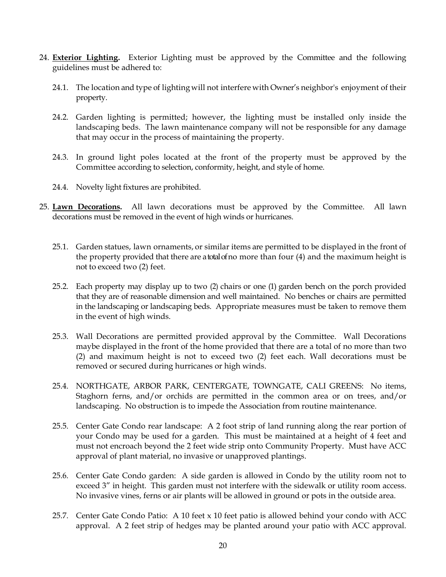- 24. **Exterior Lighting.** Exterior Lighting must be approved by the Committee and the following guidelines must be adhered to:
	- 24.1. The location and type of lighting will not interfere with Owner's neighbor's enjoyment of their property.
	- 24.2. Garden lighting is permitted; however, the lighting must be installed only inside the landscaping beds. The lawn maintenance company will not be responsible for any damage that may occur in the process of maintaining the property.
	- 24.3. In ground light poles located at the front of the property must be approved by the Committee according to selection, conformity, height, and style of home.
	- 24.4. Novelty light fixtures are prohibited.
- 25. **Lawn Decorations.** All lawn decorations must be approved by the Committee. All lawn decorations must be removed in the event of high winds or hurricanes.
	- 25.1. Garden statues, lawn ornaments, or similar items are permitted to be displayed in the front of the property provided that there are a total of no more than four (4) and the maximum height is not to exceed two (2) feet.
	- 25.2. Each property may display up to two (2) chairs or one (1) garden bench on the porch provided that they are of reasonable dimension and well maintained. No benches or chairs are permitted in the landscaping or landscaping beds. Appropriate measures must be taken to remove them in the event of high winds.
	- 25.3. Wall Decorations are permitted provided approval by the Committee. Wall Decorations maybe displayed in the front of the home provided that there are a total of no more than two (2) and maximum height is not to exceed two (2) feet each. Wall decorations must be removed or secured during hurricanes or high winds.
	- 25.4. NORTHGATE, ARBOR PARK, CENTERGATE, TOWNGATE, CALI GREENS: No items, Staghorn ferns, and/or orchids are permitted in the common area or on trees, and/or landscaping. No obstruction is to impede the Association from routine maintenance.
	- 25.5. Center Gate Condo rear landscape: A 2 foot strip of land running along the rear portion of your Condo may be used for a garden. This must be maintained at a height of 4 feet and must not encroach beyond the 2 feet wide strip onto Community Property. Must have ACC approval of plant material, no invasive or unapproved plantings.
	- 25.6. Center Gate Condo garden: A side garden is allowed in Condo by the utility room not to exceed 3" in height. This garden must not interfere with the sidewalk or utility room access. No invasive vines, ferns or air plants will be allowed in ground or pots in the outside area.
	- 25.7. Center Gate Condo Patio: A 10 feet x 10 feet patio is allowed behind your condo with ACC approval. A 2 feet strip of hedges may be planted around your patio with ACC approval.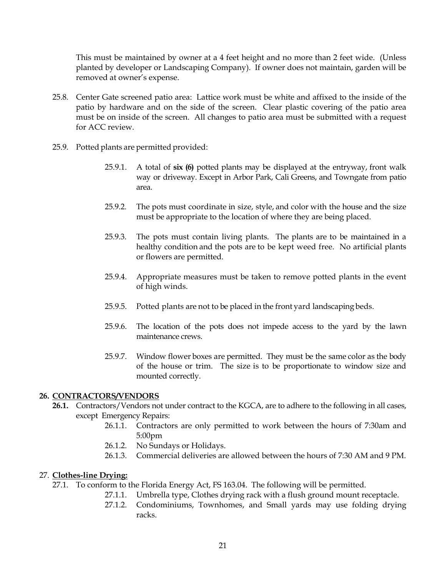This must be maintained by owner at a 4 feet height and no more than 2 feet wide. (Unless planted by developer or Landscaping Company). If owner does not maintain, garden will be removed at owner's expense.

- 25.8. Center Gate screened patio area: Lattice work must be white and affixed to the inside of the patio by hardware and on the side of the screen. Clear plastic covering of the patio area must be on inside of the screen. All changes to patio area must be submitted with a request for ACC review.
- 25.9. Potted plants are permitted provided:
	- 25.9.1. A total of **six (6)** potted plants may be displayed at the entryway, front walk way or driveway. Except in Arbor Park, Cali Greens, and Towngate from patio area.
	- 25.9.2. The pots must coordinate in size, style, and color with the house and the size must be appropriate to the location of where they are being placed.
	- 25.9.3. The pots must contain living plants. The plants are to be maintained in a healthy condition and the pots are to be kept weed free. No artificial plants or flowers are permitted.
	- 25.9.4. Appropriate measures must be taken to remove potted plants in the event of high winds.
	- 25.9.5. Potted plants are not to be placed in the front yard landscaping beds.
	- 25.9.6. The location of the pots does not impede access to the yard by the lawn maintenance crews.
	- 25.9.7. Window flower boxes are permitted. They must be the same color as the body of the house or trim. The size is to be proportionate to window size and mounted correctly.

#### **26. CONTRACTORS/VENDORS**

- **26.1.** Contractors/Vendors not under contract to the KGCA, are to adhere to the following in all cases, except Emergency Repairs:
	- 26.1.1. Contractors are only permitted to work between the hours of 7:30am and 5:00pm
	- 26.1.2. No Sundays or Holidays.
	- 26.1.3. Commercial deliveries are allowed between the hours of 7:30 AM and 9 PM.

#### 27. **Clothes-line Drying:**

- 27.1. To conform to the Florida Energy Act, FS 163.04. The following will be permitted.
	- 27.1.1. Umbrella type, Clothes drying rack with a flush ground mount receptacle.
	- 27.1.2. Condominiums, Townhomes, and Small yards may use folding drying racks.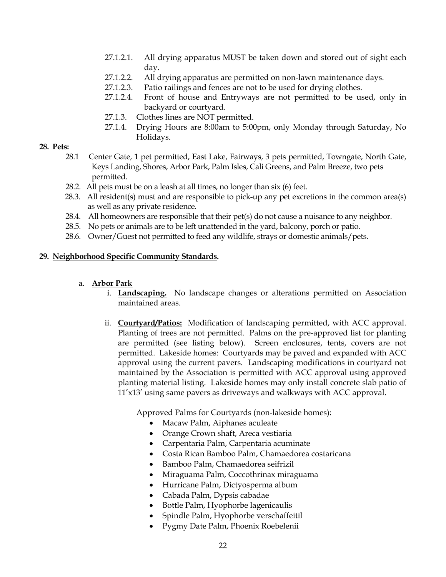- 27.1.2.1. All drying apparatus MUST be taken down and stored out of sight each day.
- 27.1.2.2. All drying apparatus are permitted on non-lawn maintenance days.
- 27.1.2.3. Patio railings and fences are not to be used for drying clothes.
- 27.1.2.4. Front of house and Entryways are not permitted to be used, only in backyard or courtyard.
- 27.1.3. Clothes lines are NOT permitted.
- 27.1.4. Drying Hours are 8:00am to 5:00pm, only Monday through Saturday, No Holidays.

#### **28. Pets:**

- 28.1 Center Gate, 1 pet permitted, East Lake, Fairways, 3 pets permitted, Towngate, North Gate, Keys Landing, Shores, Arbor Park, Palm Isles, Cali Greens, and Palm Breeze, two pets permitted.
- 28.2. All pets must be on a leash at all times, no longer than six (6) feet.
- 28.3. All resident(s) must and are responsible to pick-up any pet excretions in the common area(s) as well as any private residence.
- 28.4. All homeowners are responsible that their pet(s) do not cause a nuisance to any neighbor.
- 28.5. No pets or animals are to be left unattended in the yard, balcony, porch or patio.
- 28.6. Owner/Guest not permitted to feed any wildlife, strays or domestic animals/pets.

#### **29. Neighborhood Specific Community Standards.**

#### a. **Arbor Park**

- i. **Landscaping.** No landscape changes or alterations permitted on Association maintained areas.
- ii. **Courtyard/Patios:** Modification of landscaping permitted, with ACC approval. Planting of trees are not permitted. Palms on the pre-approved list for planting are permitted (see listing below). Screen enclosures, tents, covers are not permitted. Lakeside homes: Courtyards may be paved and expanded with ACC approval using the current pavers. Landscaping modifications in courtyard not maintained by the Association is permitted with ACC approval using approved planting material listing. Lakeside homes may only install concrete slab patio of 11'x13' using same pavers as driveways and walkways with ACC approval.

Approved Palms for Courtyards (non-lakeside homes):

- Macaw Palm, Aiphanes aculeate
- Orange Crown shaft, Areca vestiaria
- Carpentaria Palm, Carpentaria acuminate
- Costa Rican Bamboo Palm, Chamaedorea costaricana
- Bamboo Palm, Chamaedorea seifrizil
- Miraguama Palm, Coccothrinax miraguama
- Hurricane Palm, Dictyosperma album
- Cabada Palm, Dypsis cabadae
- Bottle Palm, Hyophorbe lagenicaulis
- Spindle Palm, Hyophorbe verschaffeitil
- Pygmy Date Palm, Phoenix Roebelenii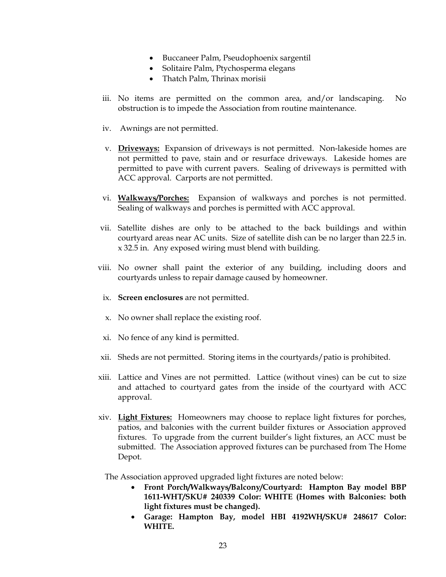- Buccaneer Palm, Pseudophoenix sargentil
- Solitaire Palm, Ptychosperma elegans
- Thatch Palm, Thrinax morisii
- iii. No items are permitted on the common area, and/or landscaping. No obstruction is to impede the Association from routine maintenance.
- iv. Awnings are not permitted.
- v. **Driveways:** Expansion of driveways is not permitted. Non-lakeside homes are not permitted to pave, stain and or resurface driveways. Lakeside homes are permitted to pave with current pavers. Sealing of driveways is permitted with ACC approval. Carports are not permitted.
- vi. **Walkways/Porches:** Expansion of walkways and porches is not permitted. Sealing of walkways and porches is permitted with ACC approval.
- vii. Satellite dishes are only to be attached to the back buildings and within courtyard areas near AC units. Size of satellite dish can be no larger than 22.5 in. x 32.5 in. Any exposed wiring must blend with building.
- viii. No owner shall paint the exterior of any building, including doors and courtyards unless to repair damage caused by homeowner.
	- ix. **Screen enclosures** are not permitted.
	- x. No owner shall replace the existing roof.
	- xi. No fence of any kind is permitted.
- xii. Sheds are not permitted. Storing items in the courtyards/patio is prohibited.
- xiii. Lattice and Vines are not permitted. Lattice (without vines) can be cut to size and attached to courtyard gates from the inside of the courtyard with ACC approval.
- xiv. **Light Fixtures:** Homeowners may choose to replace light fixtures for porches, patios, and balconies with the current builder fixtures or Association approved fixtures. To upgrade from the current builder's light fixtures, an ACC must be submitted. The Association approved fixtures can be purchased from The Home Depot.

The Association approved upgraded light fixtures are noted below:

- **Front Porch/Walkways/Balcony/Courtyard: Hampton Bay model BBP 1611-WHT/SKU# 240339 Color: WHITE (Homes with Balconies: both light fixtures must be changed).**
- **Garage: Hampton Bay, model HBI 4192WH/SKU# 248617 Color: WHITE.**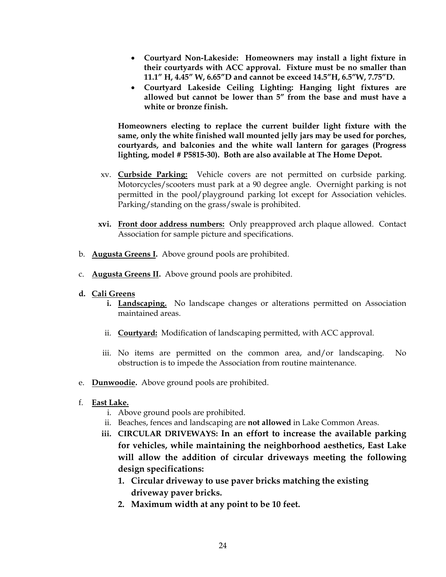- **Courtyard Non-Lakeside: Homeowners may install a light fixture in their courtyards with ACC approval. Fixture must be no smaller than 11.1" H, 4.45" W, 6.65"D and cannot be exceed 14.5"H, 6.5"W, 7.75"D.**
- **Courtyard Lakeside Ceiling Lighting: Hanging light fixtures are allowed but cannot be lower than 5" from the base and must have a white or bronze finish.**

**Homeowners electing to replace the current builder light fixture with the same, only the white finished wall mounted jelly jars may be used for porches, courtyards, and balconies and the white wall lantern for garages (Progress lighting, model # P5815-30). Both are also available at The Home Depot.** 

- xv. **Curbside Parking:** Vehicle covers are not permitted on curbside parking. Motorcycles/scooters must park at a 90 degree angle. Overnight parking is not permitted in the pool/playground parking lot except for Association vehicles. Parking/standing on the grass/swale is prohibited.
- **xvi. Front door address numbers:** Only preapproved arch plaque allowed. Contact Association for sample picture and specifications.
- b. **Augusta Greens I.** Above ground pools are prohibited.
- c. **Augusta Greens II.** Above ground pools are prohibited.
- **d. Cali Greens** 
	- **i. Landscaping.** No landscape changes or alterations permitted on Association maintained areas.
	- ii. **Courtyard:** Modification of landscaping permitted, with ACC approval.
	- iii. No items are permitted on the common area, and/or landscaping. No obstruction is to impede the Association from routine maintenance.
- e. **Dunwoodie.** Above ground pools are prohibited.
- f. **East Lake.**
	- i. Above ground pools are prohibited.
	- ii. Beaches, fences and landscaping are **not allowed** in Lake Common Areas.
	- **iii. CIRCULAR DRIVEWAYS: In an effort to increase the available parking for vehicles, while maintaining the neighborhood aesthetics, East Lake will allow the addition of circular driveways meeting the following design specifications:**
		- **1. Circular driveway to use paver bricks matching the existing driveway paver bricks.**
		- **2. Maximum width at any point to be 10 feet.**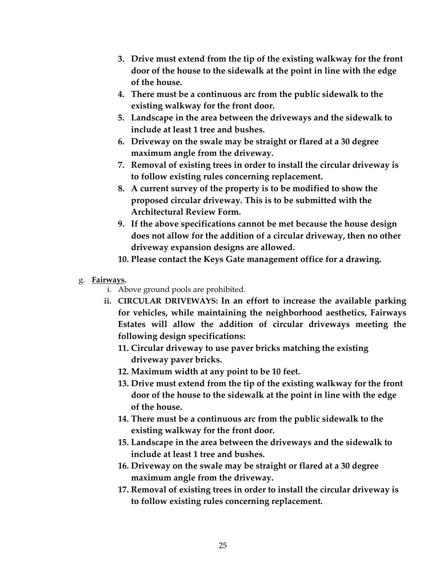- **3. Drive must extend from the tip of the existing walkway for the front door of the house to the sidewalk at the point in line with the edge of the house.**
- **4. There must be a continuous arc from the public sidewalk to the existing walkway for the front door.**
- **5. Landscape in the area between the driveways and the sidewalk to include at least 1 tree and bushes.**
- **6. Driveway on the swale may be straight or flared at a 30 degree maximum angle from the driveway.**
- **7. Removal of existing trees in order to install the circular driveway is to follow existing rules concerning replacement.**
- **8. A current survey of the property is to be modified to show the proposed circular driveway. This is to be submitted with the Architectural Review Form.**
- **9. If the above specifications cannot be met because the house design does not allow for the addition of a circular driveway, then no other driveway expansion designs are allowed.**
- **10. Please contact the Keys Gate management office for a drawing.**
- g. **Fairways.** 
	- i. Above ground pools are prohibited.
	- **ii. CIRCULAR DRIVEWAYS: In an effort to increase the available parking for vehicles, while maintaining the neighborhood aesthetics, Fairways Estates will allow the addition of circular driveways meeting the following design specifications:**
		- **11. Circular driveway to use paver bricks matching the existing driveway paver bricks.**
		- **12. Maximum width at any point to be 10 feet.**
		- **13. Drive must extend from the tip of the existing walkway for the front door of the house to the sidewalk at the point in line with the edge of the house.**
		- **14. There must be a continuous arc from the public sidewalk to the existing walkway for the front door.**
		- **15. Landscape in the area between the driveways and the sidewalk to include at least 1 tree and bushes.**
		- **16. Driveway on the swale may be straight or flared at a 30 degree maximum angle from the driveway.**
		- **17. Removal of existing trees in order to install the circular driveway is to follow existing rules concerning replacement.**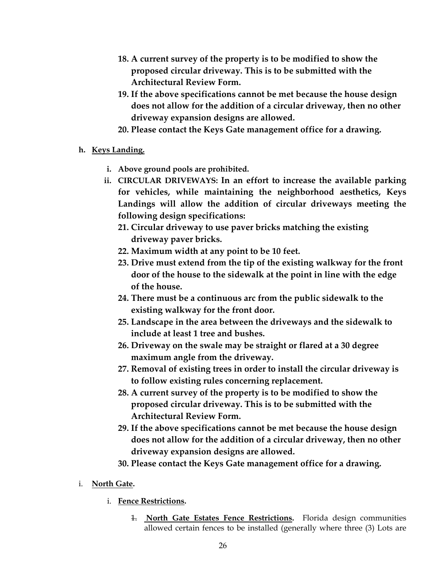- **18. A current survey of the property is to be modified to show the proposed circular driveway. This is to be submitted with the Architectural Review Form.**
- **19. If the above specifications cannot be met because the house design does not allow for the addition of a circular driveway, then no other driveway expansion designs are allowed.**
- **20. Please contact the Keys Gate management office for a drawing.**
- **h. Keys Landing.** 
	- **i. Above ground pools are prohibited.**
	- **ii. CIRCULAR DRIVEWAYS: In an effort to increase the available parking for vehicles, while maintaining the neighborhood aesthetics, Keys Landings will allow the addition of circular driveways meeting the following design specifications:**
		- **21. Circular driveway to use paver bricks matching the existing driveway paver bricks.**
		- **22. Maximum width at any point to be 10 feet.**
		- **23. Drive must extend from the tip of the existing walkway for the front door of the house to the sidewalk at the point in line with the edge of the house.**
		- **24. There must be a continuous arc from the public sidewalk to the existing walkway for the front door.**
		- **25. Landscape in the area between the driveways and the sidewalk to include at least 1 tree and bushes.**
		- **26. Driveway on the swale may be straight or flared at a 30 degree maximum angle from the driveway.**
		- **27. Removal of existing trees in order to install the circular driveway is to follow existing rules concerning replacement.**
		- **28. A current survey of the property is to be modified to show the proposed circular driveway. This is to be submitted with the Architectural Review Form.**
		- **29. If the above specifications cannot be met because the house design does not allow for the addition of a circular driveway, then no other driveway expansion designs are allowed.**
		- **30. Please contact the Keys Gate management office for a drawing.**
- i. **North Gate.**
	- i. **Fence Restrictions.**
		- 1. **North Gate Estates Fence Restrictions.** Florida design communities allowed certain fences to be installed (generally where three (3) Lots are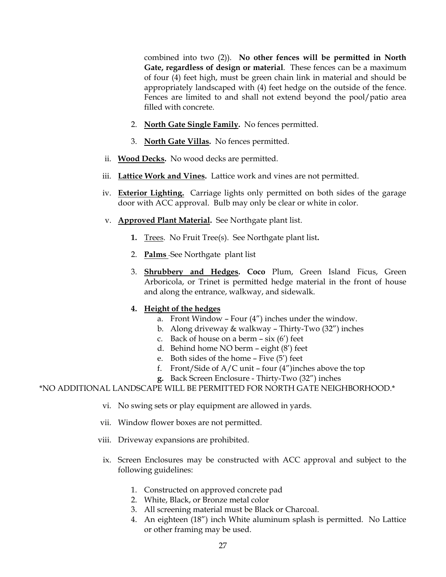combined into two (2)). **No other fences will be permitted in North Gate, regardless of design or material**. These fences can be a maximum of four (4) feet high, must be green chain link in material and should be appropriately landscaped with (4) feet hedge on the outside of the fence. Fences are limited to and shall not extend beyond the pool/patio area filled with concrete.

- 2. **North Gate Single Family.** No fences permitted.
- 3. **North Gate Villas.** No fences permitted.
- ii. **Wood Decks.** No wood decks are permitted.
- iii. **Lattice Work and Vines.** Lattice work and vines are not permitted.
- iv. **Exterior Lighting.** Carriage lights only permitted on both sides of the garage door with ACC approval. Bulb may only be clear or white in color.
- v. **Approved Plant Material.** See Northgate plant list.
	- **1.** Trees. No Fruit Tree(s). See Northgate plant list**.**
	- 2. **Palms** See Northgate plant list
	- 3. **Shrubbery and Hedges. Coco** Plum, Green Island Ficus, Green Arboricola, or Trinet is permitted hedge material in the front of house and along the entrance, walkway, and sidewalk.

### **4. Height of the hedges**

- a. Front Window Four (4") inches under the window.
- b. Along driveway & walkway Thirty-Two (32") inches
- c. Back of house on a berm  $-$  six  $(6')$  feet
- d. Behind home NO berm eight (8') feet
- e. Both sides of the home Five (5') feet
- f. Front/Side of  $A/C$  unit four  $(4'')$  inches above the top
- **g.** Back Screen Enclosure Thirty-Two (32") inches

#### \*NO ADDITIONAL LANDSCAPE WILL BE PERMITTED FOR NORTH GATE NEIGHBORHOOD.\*

- vi. No swing sets or play equipment are allowed in yards.
- vii. Window flower boxes are not permitted.
- viii. Driveway expansions are prohibited.
	- ix. Screen Enclosures may be constructed with ACC approval and subject to the following guidelines:
		- 1. Constructed on approved concrete pad
		- 2. White, Black, or Bronze metal color
		- 3. All screening material must be Black or Charcoal.
		- 4. An eighteen (18") inch White aluminum splash is permitted. No Lattice or other framing may be used.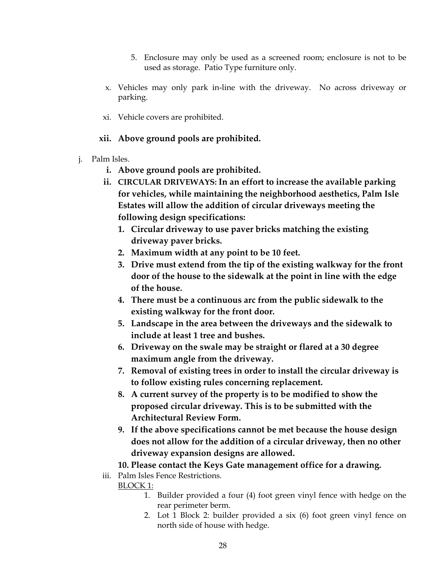- 5. Enclosure may only be used as a screened room; enclosure is not to be used as storage. Patio Type furniture only.
- x. Vehicles may only park in-line with the driveway. No across driveway or parking.
- xi. Vehicle covers are prohibited.

#### **xii. Above ground pools are prohibited.**

- j. Palm Isles.
	- **i. Above ground pools are prohibited.**
	- **ii. CIRCULAR DRIVEWAYS: In an effort to increase the available parking for vehicles, while maintaining the neighborhood aesthetics, Palm Isle Estates will allow the addition of circular driveways meeting the following design specifications:**
		- **1. Circular driveway to use paver bricks matching the existing driveway paver bricks.**
		- **2. Maximum width at any point to be 10 feet.**
		- **3. Drive must extend from the tip of the existing walkway for the front door of the house to the sidewalk at the point in line with the edge of the house.**
		- **4. There must be a continuous arc from the public sidewalk to the existing walkway for the front door.**
		- **5. Landscape in the area between the driveways and the sidewalk to include at least 1 tree and bushes.**
		- **6. Driveway on the swale may be straight or flared at a 30 degree maximum angle from the driveway.**
		- **7. Removal of existing trees in order to install the circular driveway is to follow existing rules concerning replacement.**
		- **8. A current survey of the property is to be modified to show the proposed circular driveway. This is to be submitted with the Architectural Review Form.**
		- **9. If the above specifications cannot be met because the house design does not allow for the addition of a circular driveway, then no other driveway expansion designs are allowed.**

### **10. Please contact the Keys Gate management office for a drawing.**

- iii. Palm Isles Fence Restrictions. BLOCK 1:
	- 1. Builder provided a four (4) foot green vinyl fence with hedge on the rear perimeter berm.
	- 2. Lot 1 Block 2: builder provided a six (6) foot green vinyl fence on north side of house with hedge.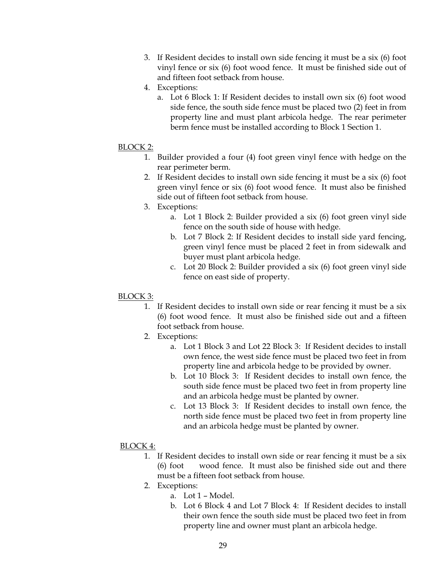- 3. If Resident decides to install own side fencing it must be a six (6) foot vinyl fence or six (6) foot wood fence. It must be finished side out of and fifteen foot setback from house.
- 4. Exceptions:
	- a. Lot 6 Block 1: If Resident decides to install own six (6) foot wood side fence, the south side fence must be placed two (2) feet in from property line and must plant arbicola hedge. The rear perimeter berm fence must be installed according to Block 1 Section 1.

#### BLOCK 2:

- 1. Builder provided a four (4) foot green vinyl fence with hedge on the rear perimeter berm.
- 2. If Resident decides to install own side fencing it must be a six (6) foot green vinyl fence or six (6) foot wood fence. It must also be finished side out of fifteen foot setback from house.
- 3. Exceptions:
	- a. Lot 1 Block 2: Builder provided a six (6) foot green vinyl side fence on the south side of house with hedge.
	- b. Lot 7 Block 2: If Resident decides to install side yard fencing, green vinyl fence must be placed 2 feet in from sidewalk and buyer must plant arbicola hedge.
	- c. Lot 20 Block 2: Builder provided a six (6) foot green vinyl side fence on east side of property.

#### BLOCK 3:

- 1. If Resident decides to install own side or rear fencing it must be a six (6) foot wood fence. It must also be finished side out and a fifteen foot setback from house.
- 2. Exceptions:
	- a. Lot 1 Block 3 and Lot 22 Block 3: If Resident decides to install own fence, the west side fence must be placed two feet in from property line and arbicola hedge to be provided by owner.
	- b. Lot 10 Block 3: If Resident decides to install own fence, the south side fence must be placed two feet in from property line and an arbicola hedge must be planted by owner.
	- c. Lot 13 Block 3: If Resident decides to install own fence, the north side fence must be placed two feet in from property line and an arbicola hedge must be planted by owner.
- BLOCK 4:
	- 1. If Resident decides to install own side or rear fencing it must be a six (6) foot wood fence. It must also be finished side out and there must be a fifteen foot setback from house.
	- 2. Exceptions:
		- a. Lot 1 Model.
		- b. Lot 6 Block 4 and Lot 7 Block 4: If Resident decides to install their own fence the south side must be placed two feet in from property line and owner must plant an arbicola hedge.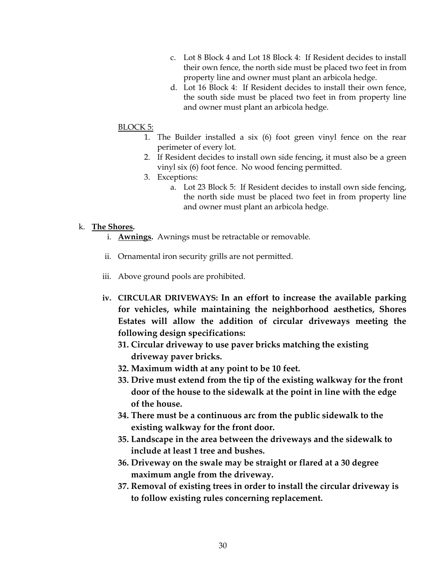- c. Lot 8 Block 4 and Lot 18 Block 4: If Resident decides to install their own fence, the north side must be placed two feet in from property line and owner must plant an arbicola hedge.
- d. Lot 16 Block 4: If Resident decides to install their own fence, the south side must be placed two feet in from property line and owner must plant an arbicola hedge.

#### BLOCK 5:

- 1. The Builder installed a six (6) foot green vinyl fence on the rear perimeter of every lot.
- 2. If Resident decides to install own side fencing, it must also be a green vinyl six (6) foot fence. No wood fencing permitted.
- 3. Exceptions:
	- a. Lot 23 Block 5: If Resident decides to install own side fencing, the north side must be placed two feet in from property line and owner must plant an arbicola hedge.

#### k. **The Shores.**

- i. **Awnings.** Awnings must be retractable or removable.
- ii. Ornamental iron security grills are not permitted.
- iii. Above ground pools are prohibited.
- **iv. CIRCULAR DRIVEWAYS: In an effort to increase the available parking for vehicles, while maintaining the neighborhood aesthetics, Shores Estates will allow the addition of circular driveways meeting the following design specifications:**
	- **31. Circular driveway to use paver bricks matching the existing driveway paver bricks.**
	- **32. Maximum width at any point to be 10 feet.**
	- **33. Drive must extend from the tip of the existing walkway for the front door of the house to the sidewalk at the point in line with the edge of the house.**
	- **34. There must be a continuous arc from the public sidewalk to the existing walkway for the front door.**
	- **35. Landscape in the area between the driveways and the sidewalk to include at least 1 tree and bushes.**
	- **36. Driveway on the swale may be straight or flared at a 30 degree maximum angle from the driveway.**
	- **37. Removal of existing trees in order to install the circular driveway is to follow existing rules concerning replacement.**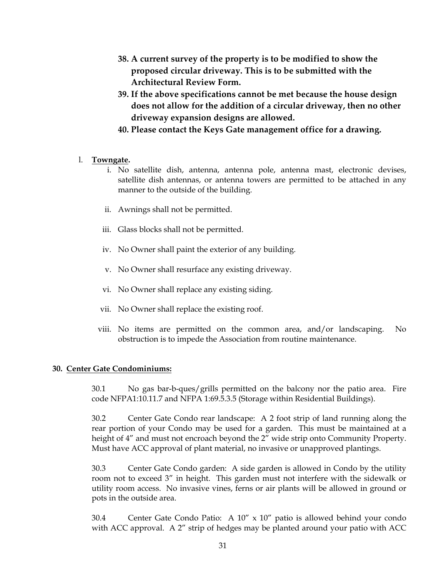- **38. A current survey of the property is to be modified to show the proposed circular driveway. This is to be submitted with the Architectural Review Form.**
- **39. If the above specifications cannot be met because the house design does not allow for the addition of a circular driveway, then no other driveway expansion designs are allowed.**
- **40. Please contact the Keys Gate management office for a drawing.**

#### l. **Towngate.**

- i. No satellite dish, antenna, antenna pole, antenna mast, electronic devises, satellite dish antennas, or antenna towers are permitted to be attached in any manner to the outside of the building.
- ii. Awnings shall not be permitted.
- iii. Glass blocks shall not be permitted.
- iv. No Owner shall paint the exterior of any building.
- v. No Owner shall resurface any existing driveway.
- vi. No Owner shall replace any existing siding.
- vii. No Owner shall replace the existing roof.
- viii. No items are permitted on the common area, and/or landscaping. No obstruction is to impede the Association from routine maintenance.

#### **30. Center Gate Condominiums:**

30.1 No gas bar-b-ques/grills permitted on the balcony nor the patio area. Fire code NFPA1:10.11.7 and NFPA 1:69.5.3.5 (Storage within Residential Buildings).

30.2 Center Gate Condo rear landscape: A 2 foot strip of land running along the rear portion of your Condo may be used for a garden. This must be maintained at a height of 4" and must not encroach beyond the 2" wide strip onto Community Property. Must have ACC approval of plant material, no invasive or unapproved plantings.

30.3 Center Gate Condo garden: A side garden is allowed in Condo by the utility room not to exceed 3" in height. This garden must not interfere with the sidewalk or utility room access. No invasive vines, ferns or air plants will be allowed in ground or pots in the outside area.

30.4 Center Gate Condo Patio: A 10" x 10" patio is allowed behind your condo with ACC approval. A 2" strip of hedges may be planted around your patio with ACC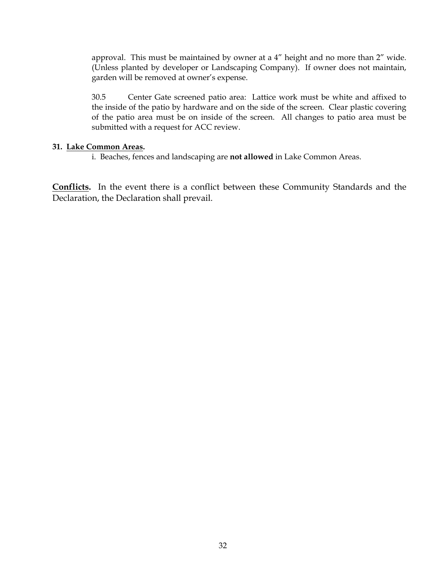approval. This must be maintained by owner at a 4" height and no more than 2" wide. (Unless planted by developer or Landscaping Company). If owner does not maintain, garden will be removed at owner's expense.

30.5 Center Gate screened patio area: Lattice work must be white and affixed to the inside of the patio by hardware and on the side of the screen. Clear plastic covering of the patio area must be on inside of the screen. All changes to patio area must be submitted with a request for ACC review.

#### **31. Lake Common Areas.**

i. Beaches, fences and landscaping are **not allowed** in Lake Common Areas.

**Conflicts.** In the event there is a conflict between these Community Standards and the Declaration, the Declaration shall prevail.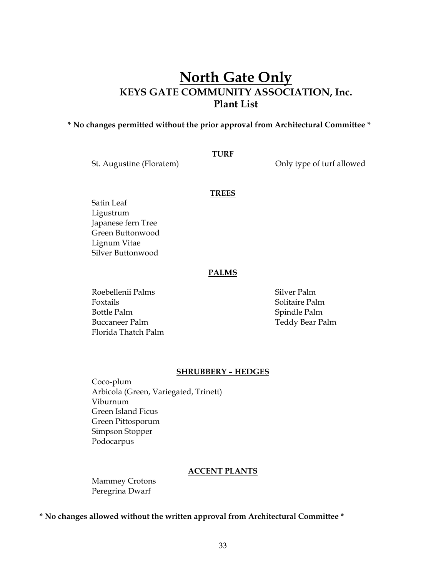## **North Gate Only KEYS GATE COMMUNITY ASSOCIATION, Inc. Plant List**

#### **\* No changes permitted without the prior approval from Architectural Committee \***

**TURF** 

St. Augustine (Floratem) Changes only type of turf allowed

#### **TREES**

Satin Leaf Ligustrum Japanese fern Tree Green Buttonwood Lignum Vitae Silver Buttonwood

#### **PALMS**

Roebellenii Palms Silver Palm Foxtails **Solitaire Palm** Bottle Palm Spindle Palm Buccaneer Palm Teddy Bear Palm Florida Thatch Palm

#### **SHRUBBERY – HEDGES**

Coco-plum Arbicola (Green, Variegated, Trinett) Viburnum Green Island Ficus Green Pittosporum Simpson Stopper Podocarpus

#### **ACCENT PLANTS**

Mammey Crotons Peregrina Dwarf

#### **\* No changes allowed without the written approval from Architectural Committee \***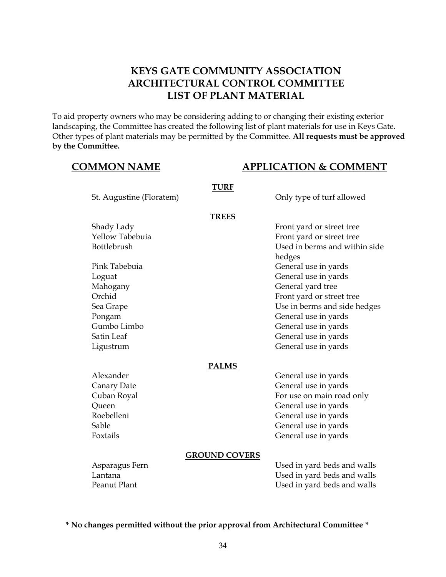## **KEYS GATE COMMUNITY ASSOCIATION ARCHITECTURAL CONTROL COMMITTEE LIST OF PLANT MATERIAL**

To aid property owners who may be considering adding to or changing their existing exterior landscaping, the Committee has created the following list of plant materials for use in Keys Gate. Other types of plant materials may be permitted by the Committee. **All requests must be approved by the Committee.** 

## **COMMON NAME APPLICATION & COMMENT**

| <b>TREES</b><br>Shady Lady<br>Front yard or street tree<br>Yellow Tabebuia<br>Front yard or street tree<br>Used in berms and within side<br>Bottlebrush<br>hedges<br>Pink Tabebuia<br>General use in yards<br>General use in yards<br>Loguat<br>General yard tree<br>Mahogany<br>Orchid<br>Front yard or street tree<br>Use in berms and side hedges<br>Sea Grape<br>General use in yards<br>Pongam<br>Gumbo Limbo<br>General use in yards<br>Satin Leaf<br>General use in yards<br>General use in yards<br>Ligustrum<br><b>PALMS</b><br>Alexander<br>General use in yards<br>General use in yards<br>Canary Date<br>Cuban Royal<br>For use on main road only<br>Queen<br>General use in yards<br>Roebelleni<br>General use in yards<br>General use in yards<br>Sable<br>Foxtails<br>General use in yards<br><b>GROUND COVERS</b><br>Asparagus Fern<br>Used in yard beds and walls | St. Augustine (Floratem) | <b>TURF</b> | Only type of turf allowed   |
|------------------------------------------------------------------------------------------------------------------------------------------------------------------------------------------------------------------------------------------------------------------------------------------------------------------------------------------------------------------------------------------------------------------------------------------------------------------------------------------------------------------------------------------------------------------------------------------------------------------------------------------------------------------------------------------------------------------------------------------------------------------------------------------------------------------------------------------------------------------------------------|--------------------------|-------------|-----------------------------|
|                                                                                                                                                                                                                                                                                                                                                                                                                                                                                                                                                                                                                                                                                                                                                                                                                                                                                    |                          |             |                             |
|                                                                                                                                                                                                                                                                                                                                                                                                                                                                                                                                                                                                                                                                                                                                                                                                                                                                                    |                          |             |                             |
|                                                                                                                                                                                                                                                                                                                                                                                                                                                                                                                                                                                                                                                                                                                                                                                                                                                                                    |                          |             |                             |
|                                                                                                                                                                                                                                                                                                                                                                                                                                                                                                                                                                                                                                                                                                                                                                                                                                                                                    |                          |             |                             |
|                                                                                                                                                                                                                                                                                                                                                                                                                                                                                                                                                                                                                                                                                                                                                                                                                                                                                    |                          |             |                             |
|                                                                                                                                                                                                                                                                                                                                                                                                                                                                                                                                                                                                                                                                                                                                                                                                                                                                                    |                          |             |                             |
|                                                                                                                                                                                                                                                                                                                                                                                                                                                                                                                                                                                                                                                                                                                                                                                                                                                                                    |                          |             |                             |
|                                                                                                                                                                                                                                                                                                                                                                                                                                                                                                                                                                                                                                                                                                                                                                                                                                                                                    |                          |             |                             |
|                                                                                                                                                                                                                                                                                                                                                                                                                                                                                                                                                                                                                                                                                                                                                                                                                                                                                    |                          |             |                             |
|                                                                                                                                                                                                                                                                                                                                                                                                                                                                                                                                                                                                                                                                                                                                                                                                                                                                                    |                          |             |                             |
|                                                                                                                                                                                                                                                                                                                                                                                                                                                                                                                                                                                                                                                                                                                                                                                                                                                                                    |                          |             |                             |
|                                                                                                                                                                                                                                                                                                                                                                                                                                                                                                                                                                                                                                                                                                                                                                                                                                                                                    |                          |             |                             |
|                                                                                                                                                                                                                                                                                                                                                                                                                                                                                                                                                                                                                                                                                                                                                                                                                                                                                    |                          |             |                             |
|                                                                                                                                                                                                                                                                                                                                                                                                                                                                                                                                                                                                                                                                                                                                                                                                                                                                                    |                          |             |                             |
|                                                                                                                                                                                                                                                                                                                                                                                                                                                                                                                                                                                                                                                                                                                                                                                                                                                                                    |                          |             |                             |
|                                                                                                                                                                                                                                                                                                                                                                                                                                                                                                                                                                                                                                                                                                                                                                                                                                                                                    |                          |             |                             |
|                                                                                                                                                                                                                                                                                                                                                                                                                                                                                                                                                                                                                                                                                                                                                                                                                                                                                    |                          |             |                             |
|                                                                                                                                                                                                                                                                                                                                                                                                                                                                                                                                                                                                                                                                                                                                                                                                                                                                                    |                          |             |                             |
|                                                                                                                                                                                                                                                                                                                                                                                                                                                                                                                                                                                                                                                                                                                                                                                                                                                                                    |                          |             |                             |
|                                                                                                                                                                                                                                                                                                                                                                                                                                                                                                                                                                                                                                                                                                                                                                                                                                                                                    |                          |             |                             |
|                                                                                                                                                                                                                                                                                                                                                                                                                                                                                                                                                                                                                                                                                                                                                                                                                                                                                    |                          |             |                             |
|                                                                                                                                                                                                                                                                                                                                                                                                                                                                                                                                                                                                                                                                                                                                                                                                                                                                                    |                          |             |                             |
|                                                                                                                                                                                                                                                                                                                                                                                                                                                                                                                                                                                                                                                                                                                                                                                                                                                                                    |                          |             |                             |
|                                                                                                                                                                                                                                                                                                                                                                                                                                                                                                                                                                                                                                                                                                                                                                                                                                                                                    |                          |             |                             |
|                                                                                                                                                                                                                                                                                                                                                                                                                                                                                                                                                                                                                                                                                                                                                                                                                                                                                    | Lantana                  |             | Used in yard beds and walls |
| Peanut Plant<br>Used in yard beds and walls                                                                                                                                                                                                                                                                                                                                                                                                                                                                                                                                                                                                                                                                                                                                                                                                                                        |                          |             |                             |

**\* No changes permitted without the prior approval from Architectural Committee \***